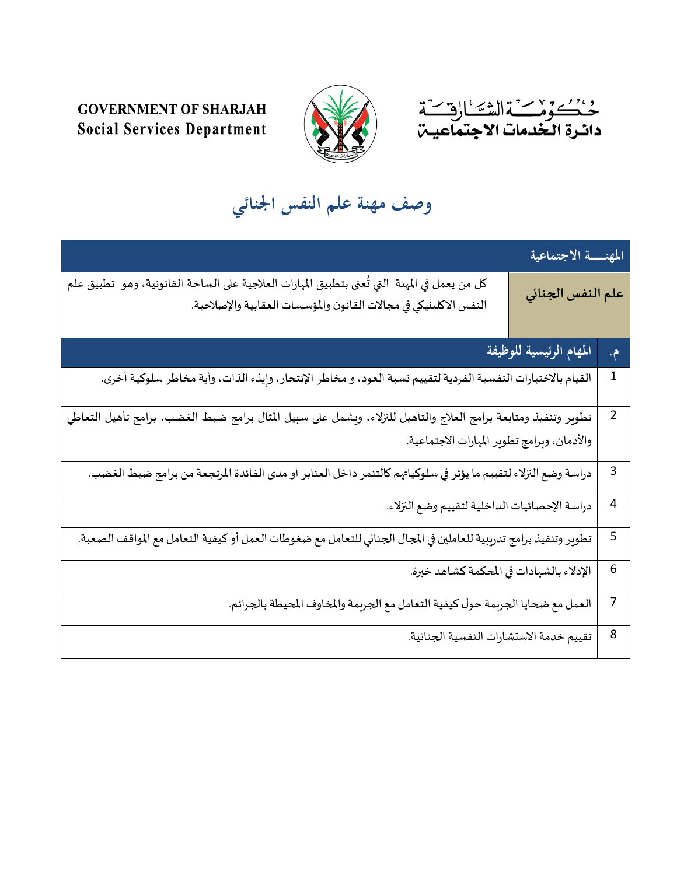



## **GOVERNMENT OF SHARJAH Social Services Department**

**وصف مهنة علم النفس اجلنائي**

| المهنسة الاجتماعية                                                                                                                                                  |                   |  |
|---------------------------------------------------------------------------------------------------------------------------------------------------------------------|-------------------|--|
| كل من يعمل في المهنة  التي تُعنى بتطبيق المهارات العلاجية على الساحة القانونية، وهو  تطبيق علم<br>النفس الاكلينيكي في مجالات القانون والمؤسسات العقابية والإصلاحية. | علم النفس الجنائي |  |
| المهام الرئيسية للوظيفة                                                                                                                                             | م.                |  |
| القيام بالاختبارات النفسية الفردية لتقييم نسبة العود، و مخاطر الإنتحار، وإيذء الذات، وأية مخاطر سلوكية أخرى.                                                        | $\mathbf 1$       |  |
| تطوير وتنفيذ ومتابعة برامج العلاج والتأهيل للنزلاء، ويشمل على سبيل المثال برامج ضبط الغضب، برامج تأهيل التعاطي<br>والأدمان، وبرامج تطوير المهارات الاجتماعية.       | $\overline{2}$    |  |
| دراسة وضع النزلاء لتقييم ما يؤثر في سلوكياتهم كالتنمر داخل العنابر أو مدى الفائدة المرتجعة من برامج ضبط الغضب.                                                      | 3                 |  |
| .<br>دراسة الإحصائيات الداخلية لتقييم وضع النزلاء.                                                                                                                  | $\overline{4}$    |  |
| تطوير وتنفيذ برامج تدريبية للعاملين في المجال الجنائي للتعامل مع ضغوطات العمل أو كيفية التعامل مع المواقف الصعبة.                                                   | 5                 |  |
| الإدلاء بالشهادات في المحكمة كشاهد خبرة.                                                                                                                            | $6\phantom{1}6$   |  |
| العمل مع ضحايا الجريمة حول كيفية التعامل مع الجريمة والمخاوف المحيطة بالجرائم.                                                                                      | $\overline{7}$    |  |
| تقييم خدمة الاستشارات النفسية الجنائية.                                                                                                                             | 8                 |  |